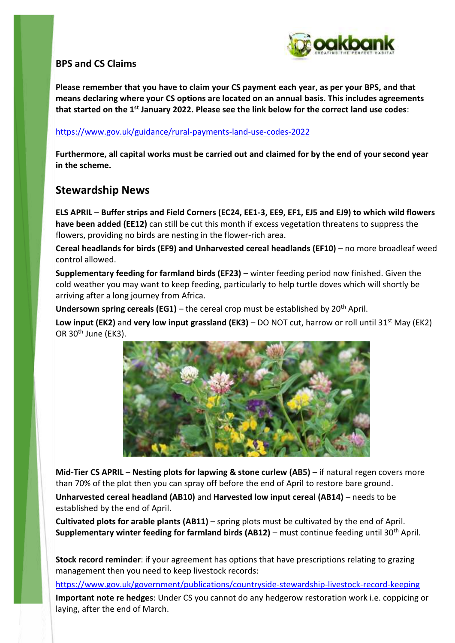

## **BPS and CS Claims**

**Please remember that you have to claim your CS payment each year, as per your BPS, and that means declaring where your CS options are located on an annual basis. This includes agreements that started on the 1st January 2022. Please see the link below for the correct land use codes**:

#### <https://www.gov.uk/guidance/rural-payments-land-use-codes-2022>

**Furthermore, all capital works must be carried out and claimed for by the end of your second year in the scheme.**

# **Stewardship News**

**ELS APRIL** – **Buffer strips and Field Corners (EC24, EE1-3, EE9, EF1, EJ5 and EJ9) to which wild flowers have been added (EE12)** can still be cut this month if excess vegetation threatens to suppress the flowers, providing no birds are nesting in the flower-rich area.

**Cereal headlands for birds (EF9) and Unharvested cereal headlands (EF10)** – no more broadleaf weed control allowed.

**Supplementary feeding for farmland birds (EF23)** – winter feeding period now finished. Given the cold weather you may want to keep feeding, particularly to help turtle doves which will shortly be arriving after a long journey from Africa.

**Undersown spring cereals (EG1)** – the cereal crop must be established by  $20<sup>th</sup>$  April.

**Low input (EK2)** and **very low input grassland (EK3)** – DO NOT cut, harrow or roll until 31<sup>st</sup> May (EK2) OR 30<sup>th</sup> June (EK3).



**Mid-Tier CS APRIL** – **Nesting plots for lapwing & stone curlew (AB5)** – if natural regen covers more than 70% of the plot then you can spray off before the end of April to restore bare ground.

**Unharvested cereal headland (AB10)** and **Harvested low input cereal (AB14)** – needs to be established by the end of April.

**Cultivated plots for arable plants (AB11)** – spring plots must be cultivated by the end of April. **Supplementary winter feeding for farmland birds (AB12)** – must continue feeding until 30<sup>th</sup> April.

**Stock record reminder**: if your agreement has options that have prescriptions relating to grazing management then you need to keep livestock records:

<https://www.gov.uk/government/publications/countryside-stewardship-livestock-record-keeping> **Important note re hedges**: Under CS you cannot do any hedgerow restoration work i.e. coppicing or laying, after the end of March.